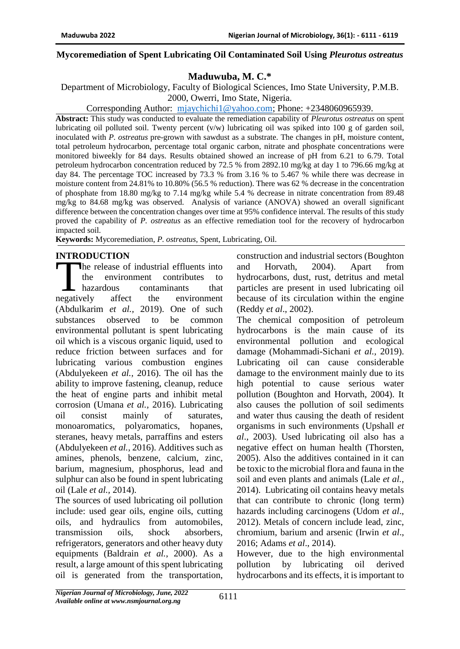#### **Mycoremediation of Spent Lubricating Oil Contaminated Soil Using** *Pleurotus ostreatus*

# **Maduwuba, M. C.\***

Department of Microbiology, Faculty of Biological Sciences, Imo State University, P.M.B. 2000, Owerri, Imo State, Nigeria.

Corresponding Author: [mjaychichi1@yahoo.com;](mailto:mjaychichi1@yahoo.com) Phone: +2348060965939.

**Abstract:** This study was conducted to evaluate the remediation capability of *Pleurotus ostreatus* on spent lubricating oil polluted soil. Twenty percent (v/w) lubricating oil was spiked into 100 g of garden soil, inoculated with *P. ostreatus* pre-grown with sawdust as a substrate. The changes in pH, moisture content, total petroleum hydrocarbon, percentage total organic carbon, nitrate and phosphate concentrations were monitored biweekly for 84 days. Results obtained showed an increase of pH from 6.21 to 6.79. Total petroleum hydrocarbon concentration reduced by 72.5 % from 2892.10 mg/kg at day 1 to 796.66 mg/kg at day 84. The percentage TOC increased by 73.3 % from 3.16 % to 5.467 % while there was decrease in moisture content from 24.81% to 10.80% (56.5 % reduction). There was 62 % decrease in the concentration of phosphate from 18.80 mg/kg to 7.14 mg/kg while 5.4 % decrease in nitrate concentration from 89.48 mg/kg to 84.68 mg/kg was observed. Analysis of variance (ANOVA) showed an overall significant difference between the concentration changes over time at 95% confidence interval. The results of this study proved the capability of *P. ostreatus* as an effective remediation tool for the recovery of hydrocarbon impacted soil.

**Keywords:** Mycoremediation, *P. ostreatus*, Spent, Lubricating, Oil.

### **INTRODUCTION**

he release of industrial effluents into the environment contributes to hazardous contaminants that affect the environment (Abdulkarim *et al.,* 2019). One of such substances observed to be common environmental pollutant is spent lubricating oil which is a viscous organic liquid, used to reduce friction between surfaces and for lubricating various combustion engines (Abdulyekeen *et al.,* 2016). The oil has the ability to improve fastening, cleanup, reduce the heat of engine parts and inhibit metal corrosion (Umana *et al.,* 2016). Lubricating oil consist mainly of saturates, monoaromatics, polyaromatics, hopanes, steranes, heavy metals, parraffins and esters (Abdulyekeen *et al.,* 2016). Additives such as amines, phenols, benzene, calcium, zinc, barium, magnesium, phosphorus, lead and sulphur can also be found in spent lubricating oil (Lale *et al.,* 2014). negatively

The sources of used lubricating oil pollution include: used gear oils, engine oils, cutting oils, and hydraulics from automobiles, transmission oils, shock absorbers, refrigerators, generators and other heavy duty equipments (Baldrain *et al.*, 2000). As a result, a large amount of this spent lubricating oil is generated from the transportation,

construction and industrial sectors (Boughton and Horvath, 2004). Apart from hydrocarbons, dust, rust, detritus and metal particles are present in used lubricating oil because of its circulation within the engine (Reddy *et al*., 2002).

The chemical composition of petroleum hydrocarbons is the main cause of its environmental pollution and ecological damage (Mohammadi-Sichani *et al.,* 2019). Lubricating oil can cause considerable damage to the environment mainly due to its high potential to cause serious water pollution (Boughton and Horvath, 2004). It also causes the pollution of soil sediments and water thus causing the death of resident organisms in such environments (Upshall *et al*., 2003). Used lubricating oil also has a negative effect on human health (Thorsten, 2005). Also the additives contained in it can be toxic to the microbial flora and fauna in the soil and even plants and animals (Lale *et al.,* 2014). Lubricating oil contains heavy metals that can contribute to chronic (long term) hazards including carcinogens (Udom *et al*., 2012). Metals of concern include lead, zinc, chromium, barium and arsenic (Irwin *et al*., 2016; Adams *et al*., 2014).

However, due to the high environmental pollution by lubricating oil derived hydrocarbons and its effects, it is important to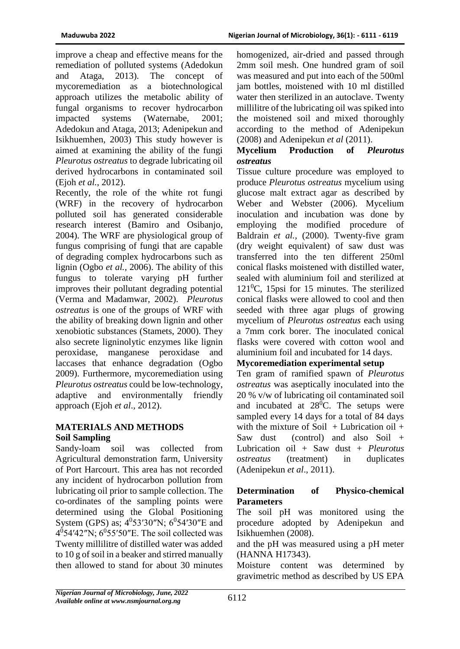improve a cheap and effective means for the remediation of polluted systems (Adedokun and Ataga, 2013). The concept of mycoremediation as a biotechnological approach utilizes the metabolic ability of fungal organisms to recover hydrocarbon impacted systems (Waternabe, 2001; Adedokun and Ataga, 2013; Adenipekun and Isikhuemhen, 2003) This study however is aimed at examining the ability of the fungi *Pleurotus ostreatus* to degrade lubricating oil derived hydrocarbons in contaminated soil (Ejoh *et al.*, 2012).

Recently, the role of the white rot fungi (WRF) in the recovery of hydrocarbon polluted soil has generated considerable research interest (Bamiro and Osibanjo, 2004). The WRF are physiological group of fungus comprising of fungi that are capable of degrading complex hydrocarbons such as lignin (Ogbo *et al.,* 2006). The ability of this fungus to tolerate varying pH further improves their pollutant degrading potential (Verma and Madamwar, 2002). *Pleurotus ostreatus* is one of the groups of WRF with the ability of breaking down lignin and other xenobiotic substances (Stamets, 2000). They also secrete ligninolytic enzymes like lignin peroxidase, manganese peroxidase and laccases that enhance degradation (Ogbo 2009). Furthermore, mycoremediation using *Pleurotus ostreatus* could be low-technology, adaptive and environmentally friendly approach (Ejoh *et al*., 2012).

# **MATERIALS AND METHODS Soil Sampling**

Sandy-loam soil was collected from Agricultural demonstration farm, University of Port Harcourt. This area has not recorded any incident of hydrocarbon pollution from lubricating oil prior to sample collection. The co-ordinates of the sampling points were determined using the Global Positioning System (GPS) as;  $4^0$ 53'30"N;  $6^0$ 54'30"E and  $4^{0}54'42''N$ ;  $6^{0}55'50''E$ . The soil collected was Twenty millilitre of distilled water was added to 10 g of soil in a beaker and stirred manually then allowed to stand for about 30 minutes

homogenized, air-dried and passed through 2mm soil mesh. One hundred gram of soil was measured and put into each of the 500ml jam bottles, moistened with 10 ml distilled water then sterilized in an autoclave. Twenty millilitre of the lubricating oil was spiked into the moistened soil and mixed thoroughly according to the method of Adenipekun (2008) and Adenipekun *et al* (2011).

### **Mycelium Production of** *Pleurotus ostreatus*

Tissue culture procedure was employed to produce *Pleurotus ostreatus* mycelium using glucose malt extract agar as described by Weber and Webster (2006). Mycelium inoculation and incubation was done by employing the modified procedure of Baldrain *et al.,* (2000). Twenty-five gram (dry weight equivalent) of saw dust was transferred into the ten different 250ml conical flasks moistened with distilled water, sealed with aluminium foil and sterilized at  $121^0$ C, 15psi for 15 minutes. The sterilized conical flasks were allowed to cool and then seeded with three agar plugs of growing mycelium of *Pleurotus ostreatus* each using a 7mm cork borer. The inoculated conical flasks were covered with cotton wool and aluminium foil and incubated for 14 days.

# **Mycoremediation experimental setup**

Ten gram of ramified spawn of *Pleurotus ostreatus* was aseptically inoculated into the 20 % v/w of lubricating oil contaminated soil and incubated at  $28^{\circ}$ C. The setups were sampled every 14 days for a total of 84 days with the mixture of Soil  $+$  Lubrication oil  $+$ Saw dust (control) and also Soil + Lubrication oil + Saw dust + *Pleurotus ostreatus* (treatment) in duplicates (Adenipekun *et al*., 2011).

# **Determination of Physico-chemical Parameters**

The soil pH was monitored using the procedure adopted by Adenipekun and Isikhuemhen (2008).

and the pH was measured using a pH meter (HANNA H17343).

Moisture content was determined by gravimetric method as described by US EPA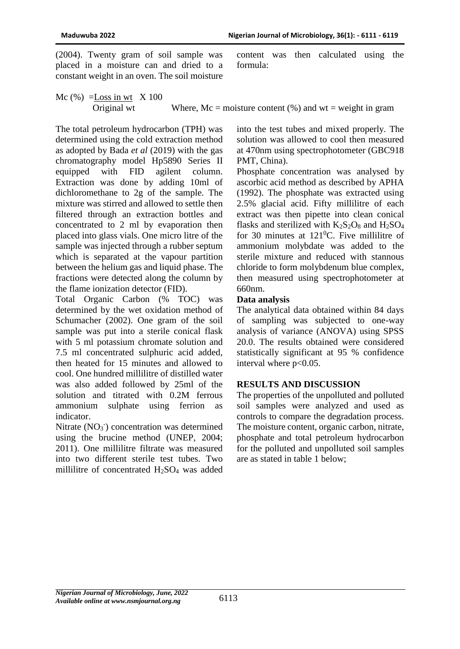(2004). Twenty gram of soil sample was placed in a moisture can and dried to a constant weight in an oven. The soil moisture content was then calculated using the formula:

Mc  $(\%)$  = Loss in wt  $\ X 100$ Original wt Where,  $Mc = \text{moisture content}$  (%) and  $wt = \text{weight in gram}$ 

The total petroleum hydrocarbon (TPH) was determined using the cold extraction method as adopted by Bada *et al* (2019) with the gas chromatography model Hp5890 Series II equipped with FID agilent column. Extraction was done by adding 10ml of dichloromethane to 2g of the sample. The mixture was stirred and allowed to settle then filtered through an extraction bottles and concentrated to 2 ml by evaporation then placed into glass vials. One micro litre of the sample was injected through a rubber septum which is separated at the vapour partition between the helium gas and liquid phase. The fractions were detected along the column by the flame ionization detector (FID).

Total Organic Carbon (% TOC) was determined by the wet oxidation method of Schumacher (2002). One gram of the soil sample was put into a sterile conical flask with 5 ml potassium chromate solution and 7.5 ml concentrated sulphuric acid added, then heated for 15 minutes and allowed to cool. One hundred millilitre of distilled water was also added followed by 25ml of the solution and titrated with 0.2M ferrous ammonium sulphate using ferrion as indicator.

Nitrate (NO<sub>3</sub><sup>-</sup>) concentration was determined using the brucine method (UNEP, 2004; 2011). One millilitre filtrate was measured into two different sterile test tubes. Two millilitre of concentrated  $H_2SO_4$  was added

into the test tubes and mixed properly. The solution was allowed to cool then measured at 470nm using spectrophotometer (GBC918 PMT, China).

Phosphate concentration was analysed by ascorbic acid method as described by APHA (1992). The phosphate was extracted using 2.5% glacial acid. Fifty millilitre of each extract was then pipette into clean conical flasks and sterilized with  $K_2S_2O_8$  and  $H_2SO_4$ for 30 minutes at  $121^{\circ}$ C. Five millilitre of ammonium molybdate was added to the sterile mixture and reduced with stannous chloride to form molybdenum blue complex, then measured using spectrophotometer at 660nm.

### **Data analysis**

The analytical data obtained within 84 days of sampling was subjected to one-way analysis of variance (ANOVA) using SPSS 20.0. The results obtained were considered statistically significant at 95 % confidence interval where  $p<0.05$ .

### **RESULTS AND DISCUSSION**

The properties of the unpolluted and polluted soil samples were analyzed and used as controls to compare the degradation process. The moisture content, organic carbon, nitrate, phosphate and total petroleum hydrocarbon for the polluted and unpolluted soil samples are as stated in table 1 below;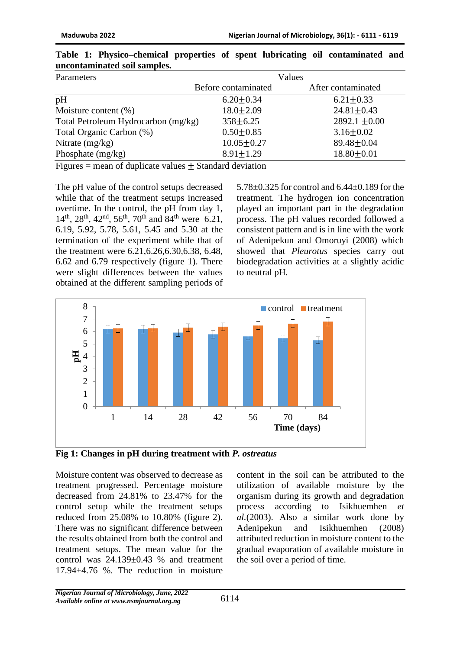| Parameters                          |                     | Values             |  |  |
|-------------------------------------|---------------------|--------------------|--|--|
|                                     | Before contaminated | After contaminated |  |  |
| pH                                  | $6.20 \pm 0.34$     | $6.21 \pm 0.33$    |  |  |
| Moisture content $(\%)$             | $18.0 \pm 2.09$     | $24.81 \pm 0.43$   |  |  |
| Total Petroleum Hydrocarbon (mg/kg) | $358 \pm 6.25$      | 2892.1 $\pm 0.00$  |  |  |
| Total Organic Carbon (%)            | $0.50 \pm 0.85$     | $3.16 \pm 0.02$    |  |  |
| Nitrate $(mg/kg)$                   | $10.05 \pm 0.27$    | $89.48 \pm 0.04$   |  |  |
| Phosphate $(mg/kg)$                 | $8.91 \pm 1.29$     | $18.80 \pm 0.01$   |  |  |

|                              |  | Table 1: Physico–chemical properties of spent lubricating oil contaminated and |  |  |  |  |  |
|------------------------------|--|--------------------------------------------------------------------------------|--|--|--|--|--|
| uncontaminated soil samples. |  |                                                                                |  |  |  |  |  |

Figures  $=$  mean of duplicate values  $+$  Standard deviation

The pH value of the control setups decreased while that of the treatment setups increased overtime. In the control, the pH from day 1,  $14^{th}$ ,  $28^{th}$ ,  $42^{nd}$ ,  $56^{th}$ ,  $70^{th}$  and  $84^{th}$  were 6.21, 6.19, 5.92, 5.78, 5.61, 5.45 and 5.30 at the termination of the experiment while that of the treatment were 6.21,6.26,6.30,6.38, 6.48, 6.62 and 6.79 respectively (figure 1). There were slight differences between the values obtained at the different sampling periods of

5.78±0.325 for control and 6.44±0.189 for the treatment. The hydrogen ion concentration played an important part in the degradation process. The pH values recorded followed a consistent pattern and is in line with the work of Adenipekun and Omoruyi (2008) which showed that *Pleurotus* species carry out biodegradation activities at a slightly acidic to neutral pH.



**Fig 1: Changes in pH during treatment with** *P. ostreatus*

Moisture content was observed to decrease as treatment progressed. Percentage moisture decreased from 24.81% to 23.47% for the control setup while the treatment setups reduced from 25.08% to 10.80% (figure 2). There was no significant difference between the results obtained from both the control and treatment setups. The mean value for the control was 24.139±0.43 % and treatment 17.94±4.76 %. The reduction in moisture

content in the soil can be attributed to the utilization of available moisture by the organism during its growth and degradation process according to Isikhuemhen *et al.*(2003). Also a similar work done by Adenipekun and Isikhuemhen (2008) attributed reduction in moisture content to the gradual evaporation of available moisture in the soil over a period of time.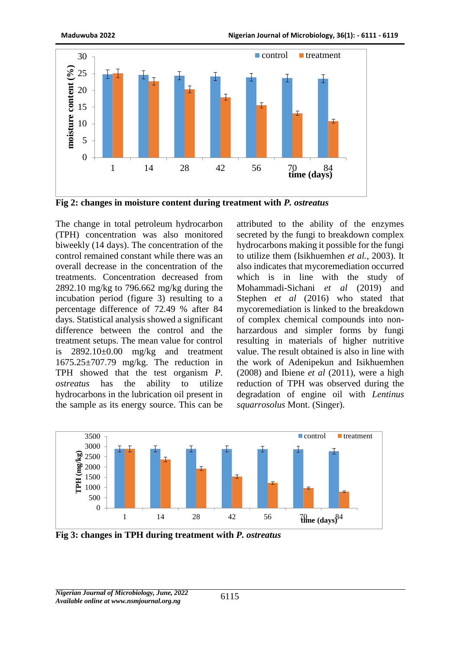

**Fig 2: changes in moisture content during treatment with** *P. ostreatus*

The change in total petroleum hydrocarbon (TPH) concentration was also monitored biweekly (14 days). The concentration of the control remained constant while there was an overall decrease in the concentration of the treatments. Concentration decreased from 2892.10 mg/kg to 796.662 mg/kg during the incubation period (figure 3) resulting to a percentage difference of 72.49 % after 84 days. Statistical analysis showed a significant difference between the control and the treatment setups. The mean value for control is  $2892.10\pm0.00$  mg/kg and treatment 1675.25±707.79 mg/kg. The reduction in TPH showed that the test organism *P. ostreatus* has the ability to utilize hydrocarbons in the lubrication oil present in the sample as its energy source. This can be

attributed to the ability of the enzymes secreted by the fungi to breakdown complex hydrocarbons making it possible for the fungi to utilize them (Isikhuemhen *et al.,* 2003). It also indicates that mycoremediation occurred which is in line with the study of Mohammadi-Sichani *et al* (2019) and Stephen *et al* (2016) who stated that mycoremediation is linked to the breakdown of complex chemical compounds into nonharzardous and simpler forms by fungi resulting in materials of higher nutritive value. The result obtained is also in line with the work of Adenipekun and Isikhuemhen (2008) and Ibiene *et al* (2011), were a high reduction of TPH was observed during the degradation of engine oil with *Lentinus squarrosolus* Mont. (Singer).



**Fig 3: changes in TPH during treatment with** *P. ostreatus*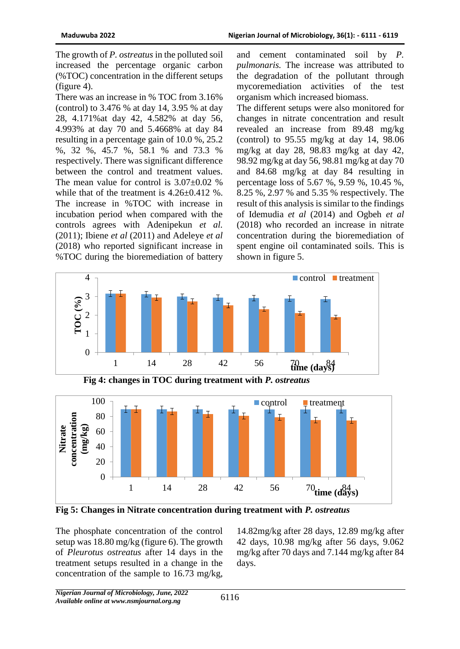The growth of *P. ostreatus* in the polluted soil increased the percentage organic carbon (%TOC) concentration in the different setups (figure 4).

There was an increase in % TOC from 3.16% (control) to 3.476 % at day 14, 3.95 % at day 28, 4.171%at day 42, 4.582% at day 56, 4.993% at day 70 and 5.4668% at day 84 resulting in a percentage gain of 10.0 %, 25.2 %, 32 %, 45.7 %, 58.1 % and 73.3 % respectively. There was significant difference between the control and treatment values. The mean value for control is  $3.07\pm0.02$  % while that of the treatment is  $4.26\pm0.412$  %. The increase in %TOC with increase in incubation period when compared with the controls agrees with Adenipekun *et al.*  (2011); Ibiene *et al* (2011) and Adeleye *et al*  (2018) who reported significant increase in %TOC during the bioremediation of battery

and cement contaminated soil by *P. pulmonaris.* The increase was attributed to the degradation of the pollutant through mycoremediation activities of the test organism which increased biomass.

The different setups were also monitored for changes in nitrate concentration and result revealed an increase from 89.48 mg/kg (control) to 95.55 mg/kg at day 14, 98.06 mg/kg at day 28, 98.83 mg/kg at day 42, 98.92 mg/kg at day 56, 98.81 mg/kg at day 70 and 84.68 mg/kg at day 84 resulting in percentage loss of 5.67 %, 9.59 %, 10.45 %, 8.25 %, 2.97 % and 5.35 % respectively. The result of this analysis is similar to the findings of Idemudia *et al* (2014) and Ogbeh *et al*  (2018) who recorded an increase in nitrate concentration during the bioremediation of spent engine oil contaminated soils. This is shown in figure 5.







**Fig 5: Changes in Nitrate concentration during treatment with** *P. ostreatus* 

The phosphate concentration of the control setup was 18.80 mg/kg (figure 6). The growth of *Pleurotus ostreatus* after 14 days in the treatment setups resulted in a change in the concentration of the sample to 16.73 mg/kg,

14.82mg/kg after 28 days, 12.89 mg/kg after 42 days, 10.98 mg/kg after 56 days, 9.062 mg/kg after 70 days and 7.144 mg/kg after 84 days.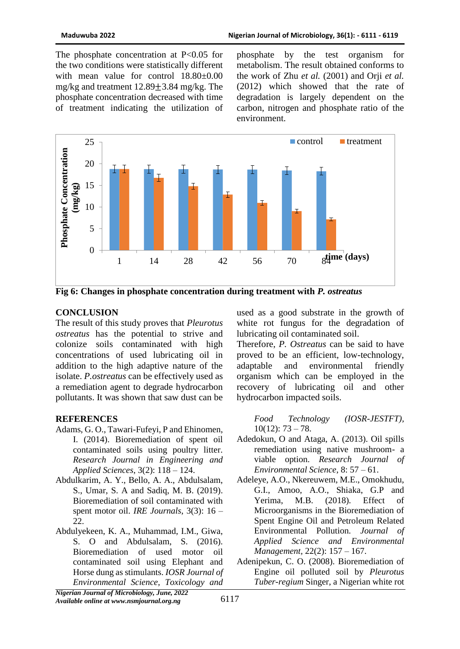The phosphate concentration at P<0.05 for the two conditions were statistically different with mean value for control 18.80±0.00 mg/kg and treatment 12.89±3.84 mg/kg. The phosphate concentration decreased with time of treatment indicating the utilization of phosphate by the test organism for metabolism. The result obtained conforms to the work of Zhu *et al.* (2001) and Orji *et al.* (2012) which showed that the rate of degradation is largely dependent on the carbon, nitrogen and phosphate ratio of the environment.



**Fig 6: Changes in phosphate concentration during treatment with** *P. ostreatus* 

### **CONCLUSION**

The result of this study proves that *Pleurotus ostreatus* has the potential to strive and colonize soils contaminated with high concentrations of used lubricating oil in addition to the high adaptive nature of the isolate. *P.ostreatus* can be effectively used as a remediation agent to degrade hydrocarbon pollutants. It was shown that saw dust can be

### **REFERENCES**

- Adams, G. O., Tawari-Fufeyi, P and Ehinomen, I. (2014). Bioremediation of spent oil contaminated soils using poultry litter. *Research Journal in Engineering and Applied Sciences*, 3(2): 118 – 124.
- Abdulkarim, A. Y., Bello, A. A., Abdulsalam, S., Umar, S. A and Sadiq, M. B. (2019). Bioremediation of soil contaminated with spent motor oil. *IRE Journals*, 3(3): 16 – 22.
- Abdulyekeen, K. A., Muhammad, I.M., Giwa, S. O and Abdulsalam, S. (2016). Bioremediation of used motor oil contaminated soil using Elephant and Horse dung as stimulants. *IOSR Journal of Environmental Science, Toxicology and*

used as a good substrate in the growth of white rot fungus for the degradation of lubricating oil contaminated soil.

Therefore, *P. Ostreatus* can be said to have proved to be an efficient, low-technology, adaptable and environmental friendly organism which can be employed in the recovery of lubricating oil and other hydrocarbon impacted soils.

*Food Technology (IOSR-JESTFT),*  $10(12): 73 - 78.$ 

- Adedokun, O and Ataga, A. (2013). Oil spills remediation using native mushroom- a viable option. *Research Journal of Environmental Science*, 8: 57 – 61.
- Adeleye, A.O., Nkereuwem, M.E., Omokhudu, G.I., Amoo, A.O., Shiaka, G.P and Yerima, M.B. (2018). Effect of Microorganisms in the Bioremediation of Spent Engine Oil and Petroleum Related Environmental Pollution. *Journal of Applied Science and Environmental Management,* 22(2): 157 – 167.
- Adenipekun, C. O. (2008). Bioremediation of Engine oil polluted soil by *Pleurotus Tuber-regium* Singer, a Nigerian white rot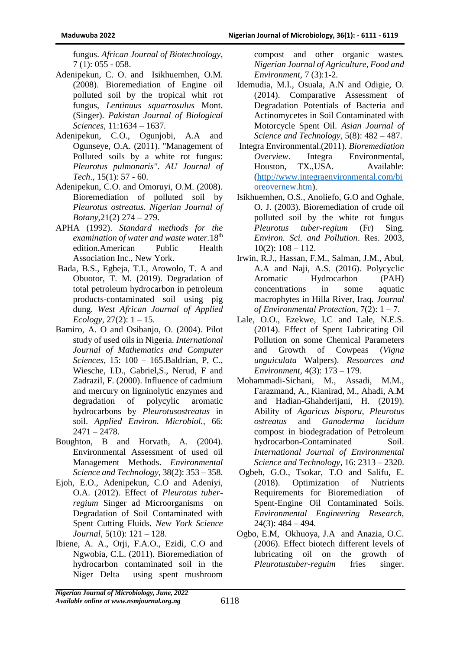fungus. *African Journal of Biotechnology*, 7 (1): 055 - 058.

- Adenipekun, C. O. and Isikhuemhen, O.M. (2008). Bioremediation of Engine oil polluted soil by the tropical whit rot fungus, *Lentinuus squarrosulus* Mont. (Singer). *Pakistan Journal of Biological Sciences*, 11:1634 – 1637.
- Adenipekun, C.O., Ogunjobi, A.A and Ogunseye, O.A. (2011). ''Management of Polluted soils by a white rot fungus: *Pleurotus pulmonaris''*. *AU Journal of Tech*., 15(1): 57 - 60.
- Adenipekun, C.O. and Omoruyi, O.M. (2008). Bioremediation of polluted soil by *Pleurotus ostreatus. Nigerian Journal of Botany,*21(2) 274 – 279.
- APHA (1992). *Standard methods for the examination of water and waste water.*18th edition.American Public Health Association Inc., New York.
- Bada, B.S., Egbeja, T.I., Arowolo, T. A and Obuotor, T. M. (2019). Degradation of total petroleum hydrocarbon in petroleum products-contaminated soil using pig dung. *West African Journal of Applied Ecology*, 27(2): 1 – 15.
- Bamiro, A. O and Osibanjo, O. (2004). Pilot study of used oils in Nigeria. *International Journal of Mathematics and Computer Sciences*, 15: 100 – 165.Baldrian, P, C., Wiesche, I.D., Gabriel,S., Nerud, F and Zadrazil, F. (2000). Influence of cadmium and mercury on ligninolytic enzymes and degradation of polycylic aromatic hydrocarbons by *Pleurotusostreatus* in soil. *Applied Environ. Microbiol.,* 66: 2471 – 2478*.*
- Boughton, B and Horvath, A. (2004). Environmental Assessment of used oil Management Methods. *Environmental Science and Technology*, 38(2): 353 – 358.
- Ejoh, E.O., Adenipekun, C.O and Adeniyi, O.A. (2012). Effect of *Pleurotus tuberregium* Singer ad Microorganisms on Degradation of Soil Contaminated with Spent Cutting Fluids. *New York Science Journal,* 5(10): 121 – 128.
- Ibiene, A. A., Orji, F.A.O., Ezidi, C.O and Ngwobia, C.L. (2011). Bioremediation of hydrocarbon contaminated soil in the Niger Delta using spent mushroom

compost and other organic wastes. *Nigerian Journal of Agriculture, Food and Environment,* 7 (3):1-2*.*

- Idemudia, M.I., Osuala, A.N and Odigie, O. (2014). Comparative Assessment of Degradation Potentials of Bacteria and Actinomycetes in Soil Contaminated with Motorcycle Spent Oil. *Asian Journal of Science and Technology,* 5(8): 482 – 487.
- Integra Environmental.(2011). *Bioremediation Overview*. Integra Environmental, Houston, TX.,USA. Available: [\(http://www.integraenvironmental.com/bi](http://www.integraenvironmental.com/bioreovernew.htm) [oreovernew.htm\)](http://www.integraenvironmental.com/bioreovernew.htm).
- Isikhuemhen, O.S., Anoliefo, G.O and Oghale, O. J. (2003). Bioremediation of crude oil polluted soil by the white rot fungus *Pleurotus tuber-regium* (Fr) Sing. *Environ. Sci. and Pollution*. Res. 2003,  $10(2)$ :  $108 - 112$ .
- Irwin, R.J., Hassan, F.M., Salman, J.M., Abul, A.A and Naji, A.S. (2016). Polycyclic Aromatic Hydrocarbon (PAH) concentrations in some aquatic macrophytes in Hilla River, Iraq. *Journal of Environmental Protection*, 7(2): 1 – 7.
- Lale, O.O., Ezekwe, I.C and Lale, N.E.S. (2014). Effect of Spent Lubricating Oil Pollution on some Chemical Parameters and Growth of Cowpeas (*Vigna unguiculata* Walpers). *Resources and Environment,* 4(3): 173 – 179.
- Mohammadi-Sichani, M., Assadi, M.M., Farazmand, A., Kianirad, M., Ahadi, A.M and Hadian-Ghahderijani, H. (2019). Ability of *Agaricus bisporu, Pleurotus ostreatus* and *Ganoderma lucidum* compost in biodegradation of Petroleum hydrocarbon-Contaminated Soil. *International Journal of Environmental Science and Technology,* 16: 2313 – 2320.
- Ogbeh, G.O., Tsokar, T.O and Salifu, E. (2018). Optimization of Nutrients Requirements for Bioremediation of Spent-Engine Oil Contaminated Soils. *Environmental Engineering Research,* 24(3): 484 – 494.
- Ogbo, E.M, Okhuoya, J.A and Anazia, O.C. (2006). Effect biotech different levels of lubricating oil on the growth of *Pleurotustuber-reguim* fries singer.